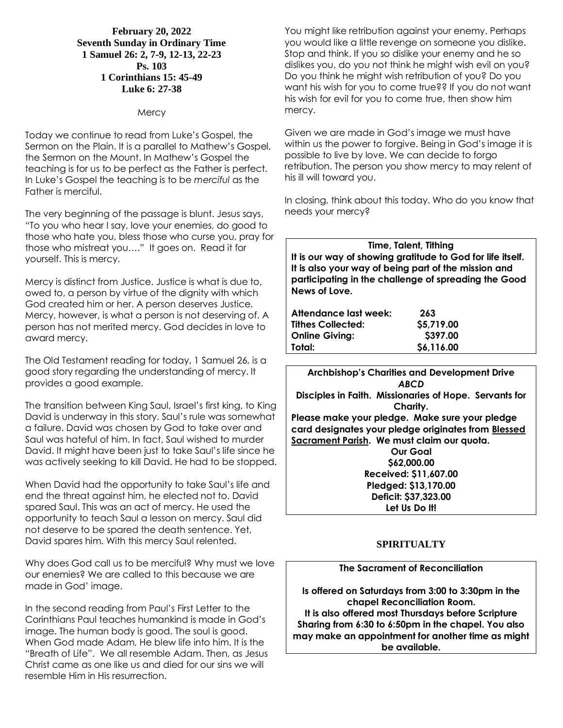### **February 20, 2022 Seventh Sunday in Ordinary Time 1 Samuel 26: 2, 7-9, 12-13, 22-23 Ps. 103 1 Corinthians 15: 45-49 Luke 6: 27-38**

#### **Mercy**

Today we continue to read from Luke's Gospel, the Sermon on the Plain. It is a parallel to Mathew's Gospel, the Sermon on the Mount. In Mathew's Gospel the teaching is for us to be perfect as the Father is perfect. In Luke's Gospel the teaching is to be *merciful* as the Father is merciful.

The very beginning of the passage is blunt. Jesus says, "To you who hear I say, love your enemies, do good to those who hate you, bless those who curse you, pray for those who mistreat you…." It goes on. Read it for yourself. This is mercy.

Mercy is distinct from Justice. Justice is what is due to, owed to, a person by virtue of the dignity with which God created him or her. A person deserves Justice. Mercy, however, is what a person is not deserving of. A person has not merited mercy. God decides in love to award mercy.

The Old Testament reading for today, 1 Samuel 26, is a good story regarding the understanding of mercy. It provides a good example.

The transition between King Saul, Israel's first king, to King David is underway in this story. Saul's rule was somewhat a failure. David was chosen by God to take over and Saul was hateful of him. In fact, Saul wished to murder David. It might have been just to take Saul's life since he was actively seeking to kill David. He had to be stopped.

When David had the opportunity to take Saul's life and end the threat against him, he elected not to. David spared Saul. This was an act of mercy. He used the opportunity to teach Saul a lesson on mercy. Saul did not deserve to be spared the death sentence. Yet, David spares him. With this mercy Saul relented.

Why does God call us to be merciful? Why must we love our enemies? We are called to this because we are made in God' image.

In the second reading from Paul's First Letter to the Corinthians Paul teaches humankind is made in God's image. The human body is good. The soul is good. When God made Adam, He blew life into him. It is the "Breath of Life". We all resemble Adam. Then, as Jesus Christ came as one like us and died for our sins we will resemble Him in His resurrection.

You might like retribution against your enemy. Perhaps you would like a little revenge on someone you dislike. Stop and think. If you so dislike your enemy and he so dislikes you, do you not think he might wish evil on you? Do you think he might wish retribution of you? Do you want his wish for you to come true?? If you do not want his wish for evil for you to come true, then show him mercy.

Given we are made in God's image we must have within us the power to forgive. Being in God's image it is possible to live by love. We can decide to forgo retribution. The person you show mercy to may relent of his ill will toward you.

In closing, think about this today. Who do you know that needs your mercy?

**Time, Talent, Tithing It is our way of showing gratitude to God for life itself. It is also your way of being part of the mission and participating in the challenge of spreading the Good News of Love.**

| Attendance last week: | 263        |
|-----------------------|------------|
| Tithes Collected:     | \$5,719.00 |
| <b>Online Givina:</b> | \$397.00   |
| Total:                | \$6,116.00 |

**Archbishop's Charities and Development Drive** *ABCD* **Disciples in Faith. Missionaries of Hope. Servants for Charity. Please make your pledge. Make sure your pledge card designates your pledge originates from Blessed Sacrament Parish. We must claim our quota. Our Goal \$62,000.00 Received: \$11,607.00 Pledged: \$13,170.00**

**Deficit: \$37,323.00 Let Us Do It!**

# **SPIRITUALTY**

#### **The Sacrament of Reconciliation**

**Is offered on Saturdays from 3:00 to 3:30pm in the chapel Reconciliation Room. It is also offered most Thursdays before Scripture Sharing from 6:30 to 6:50pm in the chapel. You also may make an appointment for another time as might be available.**